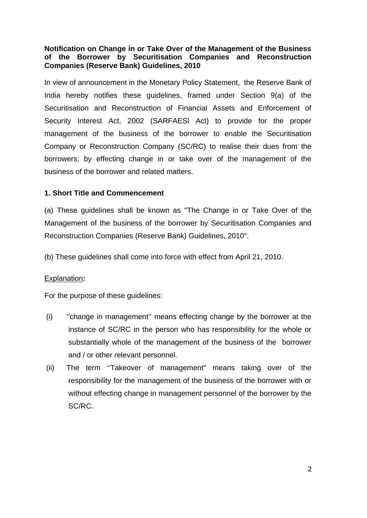### **Notification on Change in or Take Over of the Management of the Business of the Borrower by Securitisation Companies and Reconstruction Companies (Reserve Bank) Guidelines, 2010**

In view of announcement in the Monetary Policy Statement, the Reserve Bank of India hereby notifies these guidelines, framed under Section 9(a) of the Securitisation and Reconstruction of Financial Assets and Enforcement of Security Interest Act, 2002 (SARFAESI Act) to provide for the proper management of the business of the borrower to enable the Securitisation Company or Reconstruction Company (SC/RC) to realise their dues from the borrowers, by effecting change in or take over of the management of the business of the borrower and related matters.

#### **1. Short Title and Commencement**

(a) These guidelines shall be known as "The Change in or Take Over of the Management of the business of the borrower by Securitisation Companies and Reconstruction Companies (Reserve Bank) Guidelines, 2010".

(b) These guidelines shall come into force with effect from April 21, 2010.

#### Explanation**:**

For the purpose of these guidelines:

- (i) "change in management" means effecting change by the borrower at the instance of SC/RC in the person who has responsibility for the whole or substantially whole of the management of the business of the borrower and / or other relevant personnel.
- (ii) The term "Takeover of management" means taking over of the responsibility for the management of the business of the borrower with or without effecting change in management personnel of the borrower by the SC/RC.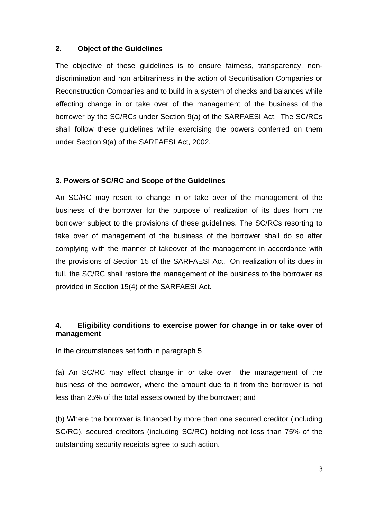#### **. Object of the Guidelines 2**

The objective of these guidelines is to ensure fairness, transparency, nondiscrimination and non arbitrariness in the action of Securitisation Companies or Reconstruction Companies and to build in a system of checks and balances while effecting change in or take over of the management of the business of the borrower by the SC/RCs under Section 9(a) of the SARFAESI Act. The SC/RCs shall follow these guidelines while exercising the powers conferred on them under Section 9(a) of the SARFAESI Act, 2002.

#### **. Powers of SC/RC and Scope of the Guidelines 3**

An SC/RC may resort to change in or take over of the management of the business of the borrower for the purpose of realization of its dues from the borrower subject to the provisions of these guidelines. The SC/RCs resorting to take over of management of the business of the borrower shall do so after complying with the manner of takeover of the management in accordance with the provisions of Section 15 of the SARFAESI Act. On realization of its dues in full, the SC/RC shall restore the management of the business to the borrower as provided in Section 15(4) of the SARFAESI Act.

#### **. Eligibility conditions to exercise power for change in or take over of management 4**

In the circumstances set forth in paragraph 5

(a) An SC/RC may effect change in or take over the management of the business of the borrower, where the amount due to it from the borrower is not less than 25% of the total assets owned by the borrower; and

(b) Where the borrower is financed by more than one secured creditor (including SC/RC), secured creditors (including SC/RC) holding not less than 75% of the outstanding security receipts agree to such action.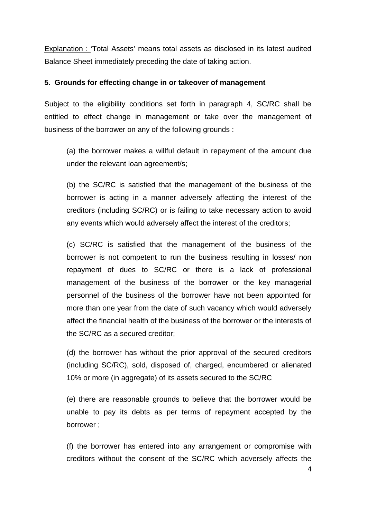Explanation : 'Total Assets' means total assets as disclosed in its latest audited Balance Sheet immediately preceding the date of taking action.

#### **5**. **Grounds for effecting change in or takeover of management**

Subject to the eligibility conditions set forth in paragraph 4, SC/RC shall be entitled to effect change in management or take over the management of business of the borrower on any of the following grounds :

(a) the borrower makes a willful default in repayment of the amount due under the relevant loan agreement/s;

(b) the SC/RC is satisfied that the management of the business of the creditors (including SC/RC) or is failing to take necessary action to avoid any events which would adversely affect the interest of the creditors; borrower is acting in a manner adversely affecting the interest of the

repayment of dues to SC/RC or there is a lack of professional management of the business of the borrower or the key managerial (c) SC/RC is satisfied that the management of the business of the borrower is not competent to run the business resulting in losses/ non personnel of the business of the borrower have not been appointed for more than one year from the date of such vacancy which would adversely affect the financial health of the business of the borrower or the interests of the SC/RC as a secured creditor;

10% or more (in aggregate) of its assets secured to the SC/RC (d) the borrower has without the prior approval of the secured creditors (including SC/RC), sold, disposed of, charged, encumbered or alienated

(e) there are reasonable grounds to believe that the borrower would be unable to pay its debts as per terms of repayment accepted by the borrower ;

(f) the borrower has entered into any arrangement or compromise with creditors without the consent of the SC/RC which adversely affects the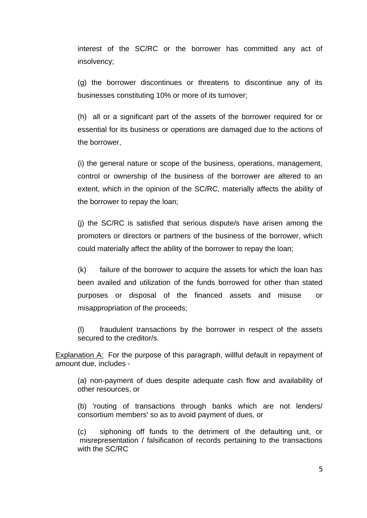interest of the SC/RC or the borrower has committed any act of insolvency;

(g) the borrower discontinues or threatens to discontinue any of its businesses constituting 10% or more of its turnover;

essential for its business or operations are damaged due to the actions of the borrower, (h) all or a significant part of the assets of the borrower required for or

(i) the general nature or scope of the business, operations, management, control or ownership of the business of the borrower are altered to an extent, which in the opinion of the SC/RC, materially affects the ability of the borrower to repay the loan;

(j) the SC/RC is satisfied that serious dispute/s have arisen among the promoters or directors or partners of the business of the borrower, which could materially affect the ability of the borrower to repay the loan;

 $(k)$  failure of the borrower to acquire the assets for which the loan has been availed and utilization of the funds borrowed for other than stated purposes or disposal of the financed assets and misuse or misappropriation of the proceeds;

(l) fraudulent transactions by the borrower in respect of the assets secured to the creditor/s.

**Explanation A:** For the purpose of this paragraph, willful default in repayment of amount due, includes -

(a) non-payment of dues despite adequat e cash flow and availability of other resources, or

consortium members' so as to avoid payment of dues, or (b) 'routing of transactions through banks which are not lenders/

misrepresentation / falsification of records pertaining to the transactions with the SC/RC (c) siphoning off funds to the detriment of the defaulting unit, or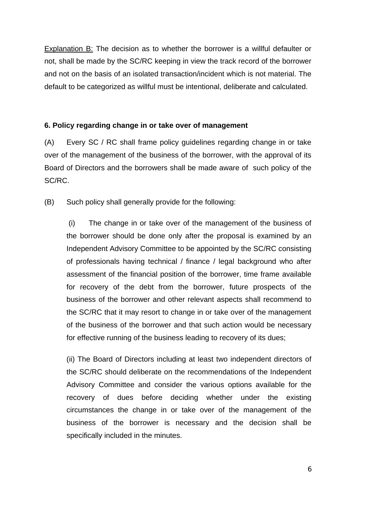Explanation B: The decision as to whether the borrower is a willful defaulter or not, shall be made by the SC/RC keeping in view the track record of the borrower and no t on the basis of an isolated transaction/incident which is not material. The default to be categorized as willful must be intentional, deliberate and calculated.

#### **6. Policy regarding change in or take over of management**

SC/RC. (A) Every SC / RC shall frame policy guidelines regarding change in or take over of the management of the business of the borrower, with the approval of its Board of Directors and the borrowers shall be made aware of such policy of the

(B) Such policy shall generally provide for the following:

of professionals having technical / finance / legal background who after assessment of the financial position of the borrower, time frame available for recovery of the debt from the borrower, future prospects of the business of the borrower and other relevant aspects shall recommend to (i) The change in or take over of the management of the business of the borrower should be done only after the proposal is examined by an Independent Advisory Committee to be appointed by the SC/RC consisting the SC/RC that it may resort to change in or take over of the management of the business of the borrower and that such action would be necessary for effective running of the business leading to recovery of its dues;

business of the borrower is necessary and the decision shall be specifically included in the minutes. (ii) The Board of Directors including at least two independent directors of the SC/RC should deliberate on the recommendations of the Independent Advisory Committee and consider the various options available for the recovery of dues before deciding whether under the existing circumstances the change in or take over of the management of the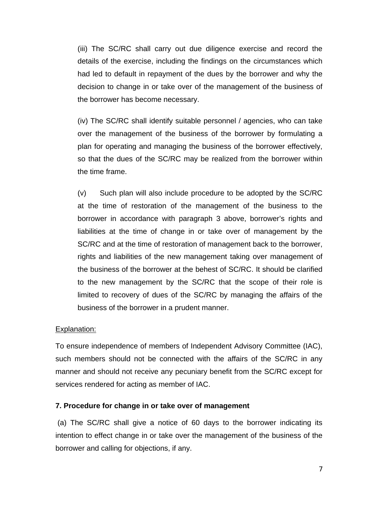the borrower has become necessary. (iii) The SC/RC shall carry out due diligence exercise and record the details of the exercise, including the findings on the circumstances which had led to default in repayment of the dues by the borrower and why the decision to change in or take over of the management of the business of

(iv) The SC/RC shall identify suitable personnel / agencies, who can take over the management of the business of the borrower by formulating a plan for operating and managing the business of the borrower effectively, so that the dues of the SC/RC may be realized from the borrower within the time frame.

SC/RC and at the time of restoration of management back to the borrower, rights and liabilities of the new management taking over management of (v) Such plan will also include procedure to be adopted by the SC/RC at the time of restoration of the management of the business to the borrower in accordance with paragraph 3 above, borrower's rights and liabilities at the time of change in or take over of management by the the business of the borrower at the behest of SC/RC. It should be clarified to the new management by the SC/RC that the scope of their role is limited to recovery of dues of the SC/RC by managing the affairs of the business of the borrower in a prudent manner.

#### Explanation:

To ensure independence of members of Independent Advisory Committee (IAC), such members should not be connected with the affairs of the SC/RC in any manner and should not receive any pecuniary benefit from the SC/RC except for services rendered for acting as member of IAC.

#### **7. Procedure for change in or take over of management**

 (a) The SC/RC shall give a notice of 60 days to the borrower indicating its intention to effect change in or take over the management of the business of the borrower and calling for objections, if any.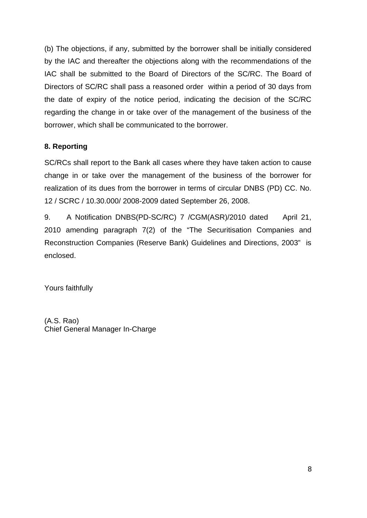(b) The objections, if any, submitted by the borrower shall be initially considered Directors of SC/RC shall pass a reasoned order within a period of 30 days from the date of expiry of the notice period, indicating the decision of the SC/RC by the IAC and thereafter the objections along with the recommendations of the IAC shall be submitted to the Board of Directors of the SC/RC. The Board of regarding the change in or take over of the management of the business of the borrower, which shall be communicated to the borrower.

## **8. Reporting**

realization of its dues from the borrower in terms of circular DNBS (PD) CC. No. 12 / SCRC / 10.30.000/ 2008-2009 dated September 26, 2008. SC/RCs shall report to the Bank all cases where they have taken action to cause change in or take over the management of the business of the borrower for

9. A Notification DNBS(PD-SC/RC) 7 /CGM(ASR)/2010 dated April 21, 2010 amending paragraph 7(2) of the "The Securitisation Companies and Reconstruction Companies (Reserve Bank) Guidelines and Directions, 2003" is enclosed.

Yours faithfully

Chief General Manager In-Charge (A.S. Rao)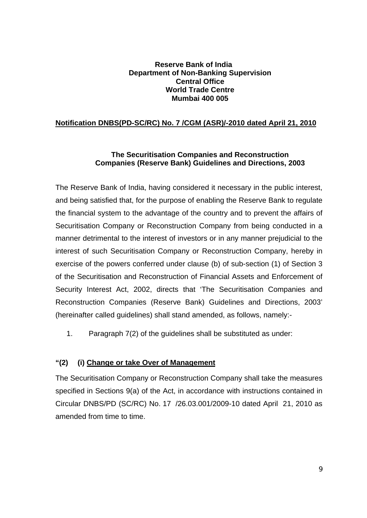#### **Reserve Bank of India Department of Non-Banking Supervision Central Office World Trade Centre Mumbai 400 005**

## **Notification DNBS(PD-SC/RC) No. 7 /CGM (ASR)/-2010 dated April 21, 2010**

#### **The Securitisation Companies and Reconstruction Companies (Reserve Bank) Guidelines and Directions, 2003**

The Reserve Bank of India, having considered it necessary in the public interest, and being satisfied that, for the purpose of enabling the Reserve Bank to regulate the financial system to the advantage of the country and to prevent the affairs of Securitisation Company or Reconstruction Company from being conducted in a manner detrimental to the interest of investors or in any manner prejudicial to the interest of such Securitisation Company or Reconstruction Company, hereby in exercise of the powers conferred under clause (b) of sub-section (1) of Section 3 of the Securitisation and Reconstruction of Financial Assets and Enforcement of Security Interest Act, 2002, directs that 'The Securitisation Companies and Reconstruction Companies (Reserve Bank) Guidelines and Directions, 2003' (hereinafter called guidelines) shall stand amended, as follows, namely:-

1. Paragraph 7(2) of the guidelines shall be substituted as under:

#### **"(2) (i) Change or take Over of Management**

The Securitisation Company or Reconstruction Company shall take the measures specified in Sections 9(a) of the Act, in accordance with instructions contained in Circular DNBS/PD (SC/RC) No. 17 /26.03.001/2009-10 dated April 21, 2010 as amended from time to time.